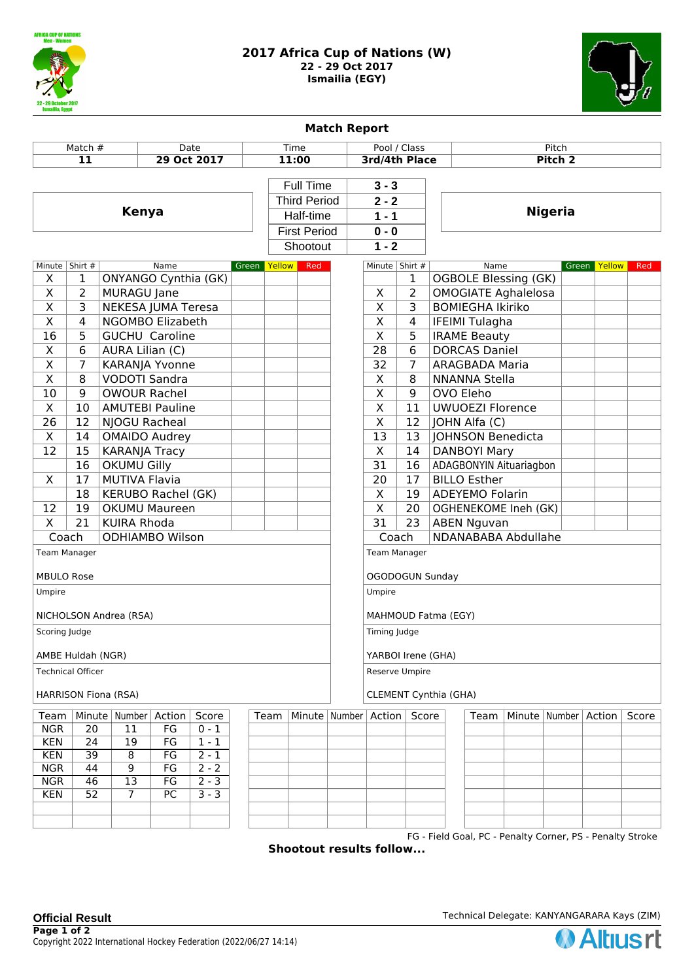



## **2017 Africa Cup of Nations (W) 22 - 29 Oct 2017 Ismailia (EGY)**



| Pitch<br>Match #<br>Date<br>Time<br>Pool / Class<br>11<br>29 Oct 2017<br>3rd/4th Place<br>Pitch <sub>2</sub><br>11:00<br><b>Full Time</b><br>$3 - 3$<br><b>Third Period</b><br>$2 - 2$<br><b>Kenya</b><br><b>Nigeria</b><br>Half-time<br>$1 - 1$<br><b>First Period</b><br>$0 - 0$<br>$1 - 2$<br>Shootout<br>Minute Shirt #<br>Minute   Shirt #<br>Green Yellow<br>Name<br>Green Yellow<br>Name<br>Red<br>Red<br><b>OGBOLE Blessing (GK)</b><br>X<br>1<br><b>ONYANGO Cynthia (GK)</b><br>1<br>$\overline{\mathsf{x}}$<br>2<br><b>MURAGU Jane</b><br>X<br>2<br><b>OMOGIATE Aghalelosa</b><br>$\overline{\mathsf{x}}$<br>3<br>$\overline{X}$<br>$\overline{3}$<br><b>BOMIEGHA Ikiriko</b><br>NEKESA JUMA Teresa<br>$\overline{\mathsf{x}}$<br>4<br><b>NGOMBO Elizabeth</b><br>$\overline{\mathsf{x}}$<br>4<br><b>IFEIMI Tulagha</b><br>$\overline{5}$<br>$\overline{\mathsf{x}}$<br>$\overline{5}$<br>16<br><b>GUCHU Caroline</b><br><b>IRAME Beauty</b><br>$\overline{\mathsf{X}}$<br><b>AURA Lilian (C)</b><br>28<br>6<br><b>DORCAS Daniel</b><br>6<br>$\overline{\mathsf{X}}$<br>7<br>32<br>KARANJA Yvonne<br>7<br>ARAGBADA Maria<br>$\overline{\mathsf{x}}$<br>$\overline{\mathsf{x}}$<br>8<br><b>VODOTI Sandra</b><br>$\overline{8}$<br><b>NNANNA Stella</b><br>$\overline{\mathsf{x}}$<br>$\overline{10}$<br>9<br><b>OWOUR Rachel</b><br>9<br><b>OVO Eleho</b><br>$\overline{\mathsf{x}}$<br>$\overline{\mathsf{x}}$<br>10<br><b>AMUTEBI Pauline</b><br>11<br><b>UWUOEZI Florence</b><br>$\overline{\mathsf{x}}$<br>$\overline{26}$<br>12<br>NJOGU Racheal<br>12<br>JOHN Alfa (C)<br>$\overline{13}$<br>$\overline{\mathsf{x}}$<br><b>JOHNSON Benedicta</b><br>14<br><b>OMAIDO Audrey</b><br>13<br>$\overline{12}$<br>$\overline{\mathsf{x}}$<br>15<br><b>KARANJA Tracy</b><br>14<br><b>DANBOYI Mary</b><br>$\overline{31}$<br><b>OKUMU Gilly</b><br>16<br>ADAGBONYIN Aituariagbon<br>16<br><b>MUTIVA Flavia</b><br>$\overline{20}$<br>X<br>17<br><b>BILLO Esther</b><br>17<br>$\overline{X}$<br>18<br>KERUBO Rachel (GK)<br>19<br><b>ADEYEMO Folarin</b><br>$\overline{\mathsf{x}}$<br>12<br>19<br><b>OKUMU Maureen</b><br>20<br>OGHENEKOME Ineh (GK)<br>$\overline{31}$<br>$\overline{21}$<br>$\overline{23}$<br>X<br><b>KUIRA Rhoda</b><br><b>ABEN Nguvan</b><br>NDANABABA Abdullahe<br>Coach<br>Coach<br><b>ODHIAMBO Wilson</b><br>Team Manager<br><b>Team Manager</b><br><b>MBULO Rose</b><br>OGODOGUN Sunday<br>Umpire<br>Umpire<br>NICHOLSON Andrea (RSA)<br>MAHMOUD Fatma (EGY)<br>Scoring Judge<br>Timing Judge<br>YARBOI Irene (GHA)<br>AMBE Huldah (NGR)<br><b>Technical Officer</b><br>Reserve Umpire<br>HARRISON Fiona (RSA)<br>CLEMENT Cynthia (GHA)<br>Minute Number<br>Score<br>Minute   Number<br>Action<br>Score<br>Minute   Number   Action<br>Score<br>Team<br>Action<br>Team<br>Team<br><b>NGR</b><br>20<br>11<br>FG<br>$0 - 1$<br>$\overline{\mathsf{FG}}$<br><b>KEN</b><br>24<br>19<br>$1 - 1$<br>8<br><b>KEN</b><br>39<br>FG<br>$2 - 1$<br><b>NGR</b><br>44<br>9<br>FG<br>$2 - 2$<br>$\overline{13}$<br><b>NGR</b><br>46<br>FG<br>$2 - 3$<br>$\overline{PC}$<br>52<br>7<br>$3 - 3$<br>KEN<br>FG - Field Goal, PC - Penalty Corner, PS - Penalty Stroke | <b>Match Report</b> |  |  |  |  |  |  |  |  |  |  |  |  |  |  |  |  |
|------------------------------------------------------------------------------------------------------------------------------------------------------------------------------------------------------------------------------------------------------------------------------------------------------------------------------------------------------------------------------------------------------------------------------------------------------------------------------------------------------------------------------------------------------------------------------------------------------------------------------------------------------------------------------------------------------------------------------------------------------------------------------------------------------------------------------------------------------------------------------------------------------------------------------------------------------------------------------------------------------------------------------------------------------------------------------------------------------------------------------------------------------------------------------------------------------------------------------------------------------------------------------------------------------------------------------------------------------------------------------------------------------------------------------------------------------------------------------------------------------------------------------------------------------------------------------------------------------------------------------------------------------------------------------------------------------------------------------------------------------------------------------------------------------------------------------------------------------------------------------------------------------------------------------------------------------------------------------------------------------------------------------------------------------------------------------------------------------------------------------------------------------------------------------------------------------------------------------------------------------------------------------------------------------------------------------------------------------------------------------------------------------------------------------------------------------------------------------------------------------------------------------------------------------------------------------------------------------------------------------------------------------------------------------------------------------------------------------------------------------------------------------------------------------------------------------------------------------------------------------------------------------------------------------------------------------------------------------------------------------------------------------------------------------------------------------------------------------------------------------------------------------------------------------------|---------------------|--|--|--|--|--|--|--|--|--|--|--|--|--|--|--|--|
|                                                                                                                                                                                                                                                                                                                                                                                                                                                                                                                                                                                                                                                                                                                                                                                                                                                                                                                                                                                                                                                                                                                                                                                                                                                                                                                                                                                                                                                                                                                                                                                                                                                                                                                                                                                                                                                                                                                                                                                                                                                                                                                                                                                                                                                                                                                                                                                                                                                                                                                                                                                                                                                                                                                                                                                                                                                                                                                                                                                                                                                                                                                                                                                    |                     |  |  |  |  |  |  |  |  |  |  |  |  |  |  |  |  |
|                                                                                                                                                                                                                                                                                                                                                                                                                                                                                                                                                                                                                                                                                                                                                                                                                                                                                                                                                                                                                                                                                                                                                                                                                                                                                                                                                                                                                                                                                                                                                                                                                                                                                                                                                                                                                                                                                                                                                                                                                                                                                                                                                                                                                                                                                                                                                                                                                                                                                                                                                                                                                                                                                                                                                                                                                                                                                                                                                                                                                                                                                                                                                                                    |                     |  |  |  |  |  |  |  |  |  |  |  |  |  |  |  |  |
|                                                                                                                                                                                                                                                                                                                                                                                                                                                                                                                                                                                                                                                                                                                                                                                                                                                                                                                                                                                                                                                                                                                                                                                                                                                                                                                                                                                                                                                                                                                                                                                                                                                                                                                                                                                                                                                                                                                                                                                                                                                                                                                                                                                                                                                                                                                                                                                                                                                                                                                                                                                                                                                                                                                                                                                                                                                                                                                                                                                                                                                                                                                                                                                    |                     |  |  |  |  |  |  |  |  |  |  |  |  |  |  |  |  |
|                                                                                                                                                                                                                                                                                                                                                                                                                                                                                                                                                                                                                                                                                                                                                                                                                                                                                                                                                                                                                                                                                                                                                                                                                                                                                                                                                                                                                                                                                                                                                                                                                                                                                                                                                                                                                                                                                                                                                                                                                                                                                                                                                                                                                                                                                                                                                                                                                                                                                                                                                                                                                                                                                                                                                                                                                                                                                                                                                                                                                                                                                                                                                                                    |                     |  |  |  |  |  |  |  |  |  |  |  |  |  |  |  |  |
|                                                                                                                                                                                                                                                                                                                                                                                                                                                                                                                                                                                                                                                                                                                                                                                                                                                                                                                                                                                                                                                                                                                                                                                                                                                                                                                                                                                                                                                                                                                                                                                                                                                                                                                                                                                                                                                                                                                                                                                                                                                                                                                                                                                                                                                                                                                                                                                                                                                                                                                                                                                                                                                                                                                                                                                                                                                                                                                                                                                                                                                                                                                                                                                    |                     |  |  |  |  |  |  |  |  |  |  |  |  |  |  |  |  |
|                                                                                                                                                                                                                                                                                                                                                                                                                                                                                                                                                                                                                                                                                                                                                                                                                                                                                                                                                                                                                                                                                                                                                                                                                                                                                                                                                                                                                                                                                                                                                                                                                                                                                                                                                                                                                                                                                                                                                                                                                                                                                                                                                                                                                                                                                                                                                                                                                                                                                                                                                                                                                                                                                                                                                                                                                                                                                                                                                                                                                                                                                                                                                                                    |                     |  |  |  |  |  |  |  |  |  |  |  |  |  |  |  |  |
|                                                                                                                                                                                                                                                                                                                                                                                                                                                                                                                                                                                                                                                                                                                                                                                                                                                                                                                                                                                                                                                                                                                                                                                                                                                                                                                                                                                                                                                                                                                                                                                                                                                                                                                                                                                                                                                                                                                                                                                                                                                                                                                                                                                                                                                                                                                                                                                                                                                                                                                                                                                                                                                                                                                                                                                                                                                                                                                                                                                                                                                                                                                                                                                    |                     |  |  |  |  |  |  |  |  |  |  |  |  |  |  |  |  |
|                                                                                                                                                                                                                                                                                                                                                                                                                                                                                                                                                                                                                                                                                                                                                                                                                                                                                                                                                                                                                                                                                                                                                                                                                                                                                                                                                                                                                                                                                                                                                                                                                                                                                                                                                                                                                                                                                                                                                                                                                                                                                                                                                                                                                                                                                                                                                                                                                                                                                                                                                                                                                                                                                                                                                                                                                                                                                                                                                                                                                                                                                                                                                                                    |                     |  |  |  |  |  |  |  |  |  |  |  |  |  |  |  |  |
|                                                                                                                                                                                                                                                                                                                                                                                                                                                                                                                                                                                                                                                                                                                                                                                                                                                                                                                                                                                                                                                                                                                                                                                                                                                                                                                                                                                                                                                                                                                                                                                                                                                                                                                                                                                                                                                                                                                                                                                                                                                                                                                                                                                                                                                                                                                                                                                                                                                                                                                                                                                                                                                                                                                                                                                                                                                                                                                                                                                                                                                                                                                                                                                    |                     |  |  |  |  |  |  |  |  |  |  |  |  |  |  |  |  |
|                                                                                                                                                                                                                                                                                                                                                                                                                                                                                                                                                                                                                                                                                                                                                                                                                                                                                                                                                                                                                                                                                                                                                                                                                                                                                                                                                                                                                                                                                                                                                                                                                                                                                                                                                                                                                                                                                                                                                                                                                                                                                                                                                                                                                                                                                                                                                                                                                                                                                                                                                                                                                                                                                                                                                                                                                                                                                                                                                                                                                                                                                                                                                                                    |                     |  |  |  |  |  |  |  |  |  |  |  |  |  |  |  |  |
|                                                                                                                                                                                                                                                                                                                                                                                                                                                                                                                                                                                                                                                                                                                                                                                                                                                                                                                                                                                                                                                                                                                                                                                                                                                                                                                                                                                                                                                                                                                                                                                                                                                                                                                                                                                                                                                                                                                                                                                                                                                                                                                                                                                                                                                                                                                                                                                                                                                                                                                                                                                                                                                                                                                                                                                                                                                                                                                                                                                                                                                                                                                                                                                    |                     |  |  |  |  |  |  |  |  |  |  |  |  |  |  |  |  |
|                                                                                                                                                                                                                                                                                                                                                                                                                                                                                                                                                                                                                                                                                                                                                                                                                                                                                                                                                                                                                                                                                                                                                                                                                                                                                                                                                                                                                                                                                                                                                                                                                                                                                                                                                                                                                                                                                                                                                                                                                                                                                                                                                                                                                                                                                                                                                                                                                                                                                                                                                                                                                                                                                                                                                                                                                                                                                                                                                                                                                                                                                                                                                                                    |                     |  |  |  |  |  |  |  |  |  |  |  |  |  |  |  |  |
|                                                                                                                                                                                                                                                                                                                                                                                                                                                                                                                                                                                                                                                                                                                                                                                                                                                                                                                                                                                                                                                                                                                                                                                                                                                                                                                                                                                                                                                                                                                                                                                                                                                                                                                                                                                                                                                                                                                                                                                                                                                                                                                                                                                                                                                                                                                                                                                                                                                                                                                                                                                                                                                                                                                                                                                                                                                                                                                                                                                                                                                                                                                                                                                    |                     |  |  |  |  |  |  |  |  |  |  |  |  |  |  |  |  |
|                                                                                                                                                                                                                                                                                                                                                                                                                                                                                                                                                                                                                                                                                                                                                                                                                                                                                                                                                                                                                                                                                                                                                                                                                                                                                                                                                                                                                                                                                                                                                                                                                                                                                                                                                                                                                                                                                                                                                                                                                                                                                                                                                                                                                                                                                                                                                                                                                                                                                                                                                                                                                                                                                                                                                                                                                                                                                                                                                                                                                                                                                                                                                                                    |                     |  |  |  |  |  |  |  |  |  |  |  |  |  |  |  |  |
|                                                                                                                                                                                                                                                                                                                                                                                                                                                                                                                                                                                                                                                                                                                                                                                                                                                                                                                                                                                                                                                                                                                                                                                                                                                                                                                                                                                                                                                                                                                                                                                                                                                                                                                                                                                                                                                                                                                                                                                                                                                                                                                                                                                                                                                                                                                                                                                                                                                                                                                                                                                                                                                                                                                                                                                                                                                                                                                                                                                                                                                                                                                                                                                    |                     |  |  |  |  |  |  |  |  |  |  |  |  |  |  |  |  |
|                                                                                                                                                                                                                                                                                                                                                                                                                                                                                                                                                                                                                                                                                                                                                                                                                                                                                                                                                                                                                                                                                                                                                                                                                                                                                                                                                                                                                                                                                                                                                                                                                                                                                                                                                                                                                                                                                                                                                                                                                                                                                                                                                                                                                                                                                                                                                                                                                                                                                                                                                                                                                                                                                                                                                                                                                                                                                                                                                                                                                                                                                                                                                                                    |                     |  |  |  |  |  |  |  |  |  |  |  |  |  |  |  |  |
|                                                                                                                                                                                                                                                                                                                                                                                                                                                                                                                                                                                                                                                                                                                                                                                                                                                                                                                                                                                                                                                                                                                                                                                                                                                                                                                                                                                                                                                                                                                                                                                                                                                                                                                                                                                                                                                                                                                                                                                                                                                                                                                                                                                                                                                                                                                                                                                                                                                                                                                                                                                                                                                                                                                                                                                                                                                                                                                                                                                                                                                                                                                                                                                    |                     |  |  |  |  |  |  |  |  |  |  |  |  |  |  |  |  |
|                                                                                                                                                                                                                                                                                                                                                                                                                                                                                                                                                                                                                                                                                                                                                                                                                                                                                                                                                                                                                                                                                                                                                                                                                                                                                                                                                                                                                                                                                                                                                                                                                                                                                                                                                                                                                                                                                                                                                                                                                                                                                                                                                                                                                                                                                                                                                                                                                                                                                                                                                                                                                                                                                                                                                                                                                                                                                                                                                                                                                                                                                                                                                                                    |                     |  |  |  |  |  |  |  |  |  |  |  |  |  |  |  |  |
|                                                                                                                                                                                                                                                                                                                                                                                                                                                                                                                                                                                                                                                                                                                                                                                                                                                                                                                                                                                                                                                                                                                                                                                                                                                                                                                                                                                                                                                                                                                                                                                                                                                                                                                                                                                                                                                                                                                                                                                                                                                                                                                                                                                                                                                                                                                                                                                                                                                                                                                                                                                                                                                                                                                                                                                                                                                                                                                                                                                                                                                                                                                                                                                    |                     |  |  |  |  |  |  |  |  |  |  |  |  |  |  |  |  |
|                                                                                                                                                                                                                                                                                                                                                                                                                                                                                                                                                                                                                                                                                                                                                                                                                                                                                                                                                                                                                                                                                                                                                                                                                                                                                                                                                                                                                                                                                                                                                                                                                                                                                                                                                                                                                                                                                                                                                                                                                                                                                                                                                                                                                                                                                                                                                                                                                                                                                                                                                                                                                                                                                                                                                                                                                                                                                                                                                                                                                                                                                                                                                                                    |                     |  |  |  |  |  |  |  |  |  |  |  |  |  |  |  |  |
|                                                                                                                                                                                                                                                                                                                                                                                                                                                                                                                                                                                                                                                                                                                                                                                                                                                                                                                                                                                                                                                                                                                                                                                                                                                                                                                                                                                                                                                                                                                                                                                                                                                                                                                                                                                                                                                                                                                                                                                                                                                                                                                                                                                                                                                                                                                                                                                                                                                                                                                                                                                                                                                                                                                                                                                                                                                                                                                                                                                                                                                                                                                                                                                    |                     |  |  |  |  |  |  |  |  |  |  |  |  |  |  |  |  |
|                                                                                                                                                                                                                                                                                                                                                                                                                                                                                                                                                                                                                                                                                                                                                                                                                                                                                                                                                                                                                                                                                                                                                                                                                                                                                                                                                                                                                                                                                                                                                                                                                                                                                                                                                                                                                                                                                                                                                                                                                                                                                                                                                                                                                                                                                                                                                                                                                                                                                                                                                                                                                                                                                                                                                                                                                                                                                                                                                                                                                                                                                                                                                                                    |                     |  |  |  |  |  |  |  |  |  |  |  |  |  |  |  |  |
|                                                                                                                                                                                                                                                                                                                                                                                                                                                                                                                                                                                                                                                                                                                                                                                                                                                                                                                                                                                                                                                                                                                                                                                                                                                                                                                                                                                                                                                                                                                                                                                                                                                                                                                                                                                                                                                                                                                                                                                                                                                                                                                                                                                                                                                                                                                                                                                                                                                                                                                                                                                                                                                                                                                                                                                                                                                                                                                                                                                                                                                                                                                                                                                    |                     |  |  |  |  |  |  |  |  |  |  |  |  |  |  |  |  |
|                                                                                                                                                                                                                                                                                                                                                                                                                                                                                                                                                                                                                                                                                                                                                                                                                                                                                                                                                                                                                                                                                                                                                                                                                                                                                                                                                                                                                                                                                                                                                                                                                                                                                                                                                                                                                                                                                                                                                                                                                                                                                                                                                                                                                                                                                                                                                                                                                                                                                                                                                                                                                                                                                                                                                                                                                                                                                                                                                                                                                                                                                                                                                                                    |                     |  |  |  |  |  |  |  |  |  |  |  |  |  |  |  |  |
|                                                                                                                                                                                                                                                                                                                                                                                                                                                                                                                                                                                                                                                                                                                                                                                                                                                                                                                                                                                                                                                                                                                                                                                                                                                                                                                                                                                                                                                                                                                                                                                                                                                                                                                                                                                                                                                                                                                                                                                                                                                                                                                                                                                                                                                                                                                                                                                                                                                                                                                                                                                                                                                                                                                                                                                                                                                                                                                                                                                                                                                                                                                                                                                    |                     |  |  |  |  |  |  |  |  |  |  |  |  |  |  |  |  |
|                                                                                                                                                                                                                                                                                                                                                                                                                                                                                                                                                                                                                                                                                                                                                                                                                                                                                                                                                                                                                                                                                                                                                                                                                                                                                                                                                                                                                                                                                                                                                                                                                                                                                                                                                                                                                                                                                                                                                                                                                                                                                                                                                                                                                                                                                                                                                                                                                                                                                                                                                                                                                                                                                                                                                                                                                                                                                                                                                                                                                                                                                                                                                                                    |                     |  |  |  |  |  |  |  |  |  |  |  |  |  |  |  |  |
|                                                                                                                                                                                                                                                                                                                                                                                                                                                                                                                                                                                                                                                                                                                                                                                                                                                                                                                                                                                                                                                                                                                                                                                                                                                                                                                                                                                                                                                                                                                                                                                                                                                                                                                                                                                                                                                                                                                                                                                                                                                                                                                                                                                                                                                                                                                                                                                                                                                                                                                                                                                                                                                                                                                                                                                                                                                                                                                                                                                                                                                                                                                                                                                    |                     |  |  |  |  |  |  |  |  |  |  |  |  |  |  |  |  |
|                                                                                                                                                                                                                                                                                                                                                                                                                                                                                                                                                                                                                                                                                                                                                                                                                                                                                                                                                                                                                                                                                                                                                                                                                                                                                                                                                                                                                                                                                                                                                                                                                                                                                                                                                                                                                                                                                                                                                                                                                                                                                                                                                                                                                                                                                                                                                                                                                                                                                                                                                                                                                                                                                                                                                                                                                                                                                                                                                                                                                                                                                                                                                                                    |                     |  |  |  |  |  |  |  |  |  |  |  |  |  |  |  |  |
|                                                                                                                                                                                                                                                                                                                                                                                                                                                                                                                                                                                                                                                                                                                                                                                                                                                                                                                                                                                                                                                                                                                                                                                                                                                                                                                                                                                                                                                                                                                                                                                                                                                                                                                                                                                                                                                                                                                                                                                                                                                                                                                                                                                                                                                                                                                                                                                                                                                                                                                                                                                                                                                                                                                                                                                                                                                                                                                                                                                                                                                                                                                                                                                    |                     |  |  |  |  |  |  |  |  |  |  |  |  |  |  |  |  |
|                                                                                                                                                                                                                                                                                                                                                                                                                                                                                                                                                                                                                                                                                                                                                                                                                                                                                                                                                                                                                                                                                                                                                                                                                                                                                                                                                                                                                                                                                                                                                                                                                                                                                                                                                                                                                                                                                                                                                                                                                                                                                                                                                                                                                                                                                                                                                                                                                                                                                                                                                                                                                                                                                                                                                                                                                                                                                                                                                                                                                                                                                                                                                                                    |                     |  |  |  |  |  |  |  |  |  |  |  |  |  |  |  |  |
|                                                                                                                                                                                                                                                                                                                                                                                                                                                                                                                                                                                                                                                                                                                                                                                                                                                                                                                                                                                                                                                                                                                                                                                                                                                                                                                                                                                                                                                                                                                                                                                                                                                                                                                                                                                                                                                                                                                                                                                                                                                                                                                                                                                                                                                                                                                                                                                                                                                                                                                                                                                                                                                                                                                                                                                                                                                                                                                                                                                                                                                                                                                                                                                    |                     |  |  |  |  |  |  |  |  |  |  |  |  |  |  |  |  |
|                                                                                                                                                                                                                                                                                                                                                                                                                                                                                                                                                                                                                                                                                                                                                                                                                                                                                                                                                                                                                                                                                                                                                                                                                                                                                                                                                                                                                                                                                                                                                                                                                                                                                                                                                                                                                                                                                                                                                                                                                                                                                                                                                                                                                                                                                                                                                                                                                                                                                                                                                                                                                                                                                                                                                                                                                                                                                                                                                                                                                                                                                                                                                                                    |                     |  |  |  |  |  |  |  |  |  |  |  |  |  |  |  |  |
|                                                                                                                                                                                                                                                                                                                                                                                                                                                                                                                                                                                                                                                                                                                                                                                                                                                                                                                                                                                                                                                                                                                                                                                                                                                                                                                                                                                                                                                                                                                                                                                                                                                                                                                                                                                                                                                                                                                                                                                                                                                                                                                                                                                                                                                                                                                                                                                                                                                                                                                                                                                                                                                                                                                                                                                                                                                                                                                                                                                                                                                                                                                                                                                    |                     |  |  |  |  |  |  |  |  |  |  |  |  |  |  |  |  |
|                                                                                                                                                                                                                                                                                                                                                                                                                                                                                                                                                                                                                                                                                                                                                                                                                                                                                                                                                                                                                                                                                                                                                                                                                                                                                                                                                                                                                                                                                                                                                                                                                                                                                                                                                                                                                                                                                                                                                                                                                                                                                                                                                                                                                                                                                                                                                                                                                                                                                                                                                                                                                                                                                                                                                                                                                                                                                                                                                                                                                                                                                                                                                                                    |                     |  |  |  |  |  |  |  |  |  |  |  |  |  |  |  |  |
|                                                                                                                                                                                                                                                                                                                                                                                                                                                                                                                                                                                                                                                                                                                                                                                                                                                                                                                                                                                                                                                                                                                                                                                                                                                                                                                                                                                                                                                                                                                                                                                                                                                                                                                                                                                                                                                                                                                                                                                                                                                                                                                                                                                                                                                                                                                                                                                                                                                                                                                                                                                                                                                                                                                                                                                                                                                                                                                                                                                                                                                                                                                                                                                    |                     |  |  |  |  |  |  |  |  |  |  |  |  |  |  |  |  |
|                                                                                                                                                                                                                                                                                                                                                                                                                                                                                                                                                                                                                                                                                                                                                                                                                                                                                                                                                                                                                                                                                                                                                                                                                                                                                                                                                                                                                                                                                                                                                                                                                                                                                                                                                                                                                                                                                                                                                                                                                                                                                                                                                                                                                                                                                                                                                                                                                                                                                                                                                                                                                                                                                                                                                                                                                                                                                                                                                                                                                                                                                                                                                                                    |                     |  |  |  |  |  |  |  |  |  |  |  |  |  |  |  |  |
|                                                                                                                                                                                                                                                                                                                                                                                                                                                                                                                                                                                                                                                                                                                                                                                                                                                                                                                                                                                                                                                                                                                                                                                                                                                                                                                                                                                                                                                                                                                                                                                                                                                                                                                                                                                                                                                                                                                                                                                                                                                                                                                                                                                                                                                                                                                                                                                                                                                                                                                                                                                                                                                                                                                                                                                                                                                                                                                                                                                                                                                                                                                                                                                    |                     |  |  |  |  |  |  |  |  |  |  |  |  |  |  |  |  |
|                                                                                                                                                                                                                                                                                                                                                                                                                                                                                                                                                                                                                                                                                                                                                                                                                                                                                                                                                                                                                                                                                                                                                                                                                                                                                                                                                                                                                                                                                                                                                                                                                                                                                                                                                                                                                                                                                                                                                                                                                                                                                                                                                                                                                                                                                                                                                                                                                                                                                                                                                                                                                                                                                                                                                                                                                                                                                                                                                                                                                                                                                                                                                                                    |                     |  |  |  |  |  |  |  |  |  |  |  |  |  |  |  |  |
|                                                                                                                                                                                                                                                                                                                                                                                                                                                                                                                                                                                                                                                                                                                                                                                                                                                                                                                                                                                                                                                                                                                                                                                                                                                                                                                                                                                                                                                                                                                                                                                                                                                                                                                                                                                                                                                                                                                                                                                                                                                                                                                                                                                                                                                                                                                                                                                                                                                                                                                                                                                                                                                                                                                                                                                                                                                                                                                                                                                                                                                                                                                                                                                    |                     |  |  |  |  |  |  |  |  |  |  |  |  |  |  |  |  |
|                                                                                                                                                                                                                                                                                                                                                                                                                                                                                                                                                                                                                                                                                                                                                                                                                                                                                                                                                                                                                                                                                                                                                                                                                                                                                                                                                                                                                                                                                                                                                                                                                                                                                                                                                                                                                                                                                                                                                                                                                                                                                                                                                                                                                                                                                                                                                                                                                                                                                                                                                                                                                                                                                                                                                                                                                                                                                                                                                                                                                                                                                                                                                                                    |                     |  |  |  |  |  |  |  |  |  |  |  |  |  |  |  |  |
|                                                                                                                                                                                                                                                                                                                                                                                                                                                                                                                                                                                                                                                                                                                                                                                                                                                                                                                                                                                                                                                                                                                                                                                                                                                                                                                                                                                                                                                                                                                                                                                                                                                                                                                                                                                                                                                                                                                                                                                                                                                                                                                                                                                                                                                                                                                                                                                                                                                                                                                                                                                                                                                                                                                                                                                                                                                                                                                                                                                                                                                                                                                                                                                    |                     |  |  |  |  |  |  |  |  |  |  |  |  |  |  |  |  |
|                                                                                                                                                                                                                                                                                                                                                                                                                                                                                                                                                                                                                                                                                                                                                                                                                                                                                                                                                                                                                                                                                                                                                                                                                                                                                                                                                                                                                                                                                                                                                                                                                                                                                                                                                                                                                                                                                                                                                                                                                                                                                                                                                                                                                                                                                                                                                                                                                                                                                                                                                                                                                                                                                                                                                                                                                                                                                                                                                                                                                                                                                                                                                                                    |                     |  |  |  |  |  |  |  |  |  |  |  |  |  |  |  |  |
|                                                                                                                                                                                                                                                                                                                                                                                                                                                                                                                                                                                                                                                                                                                                                                                                                                                                                                                                                                                                                                                                                                                                                                                                                                                                                                                                                                                                                                                                                                                                                                                                                                                                                                                                                                                                                                                                                                                                                                                                                                                                                                                                                                                                                                                                                                                                                                                                                                                                                                                                                                                                                                                                                                                                                                                                                                                                                                                                                                                                                                                                                                                                                                                    |                     |  |  |  |  |  |  |  |  |  |  |  |  |  |  |  |  |
|                                                                                                                                                                                                                                                                                                                                                                                                                                                                                                                                                                                                                                                                                                                                                                                                                                                                                                                                                                                                                                                                                                                                                                                                                                                                                                                                                                                                                                                                                                                                                                                                                                                                                                                                                                                                                                                                                                                                                                                                                                                                                                                                                                                                                                                                                                                                                                                                                                                                                                                                                                                                                                                                                                                                                                                                                                                                                                                                                                                                                                                                                                                                                                                    |                     |  |  |  |  |  |  |  |  |  |  |  |  |  |  |  |  |
|                                                                                                                                                                                                                                                                                                                                                                                                                                                                                                                                                                                                                                                                                                                                                                                                                                                                                                                                                                                                                                                                                                                                                                                                                                                                                                                                                                                                                                                                                                                                                                                                                                                                                                                                                                                                                                                                                                                                                                                                                                                                                                                                                                                                                                                                                                                                                                                                                                                                                                                                                                                                                                                                                                                                                                                                                                                                                                                                                                                                                                                                                                                                                                                    |                     |  |  |  |  |  |  |  |  |  |  |  |  |  |  |  |  |
|                                                                                                                                                                                                                                                                                                                                                                                                                                                                                                                                                                                                                                                                                                                                                                                                                                                                                                                                                                                                                                                                                                                                                                                                                                                                                                                                                                                                                                                                                                                                                                                                                                                                                                                                                                                                                                                                                                                                                                                                                                                                                                                                                                                                                                                                                                                                                                                                                                                                                                                                                                                                                                                                                                                                                                                                                                                                                                                                                                                                                                                                                                                                                                                    |                     |  |  |  |  |  |  |  |  |  |  |  |  |  |  |  |  |

**Shootout results follow...**